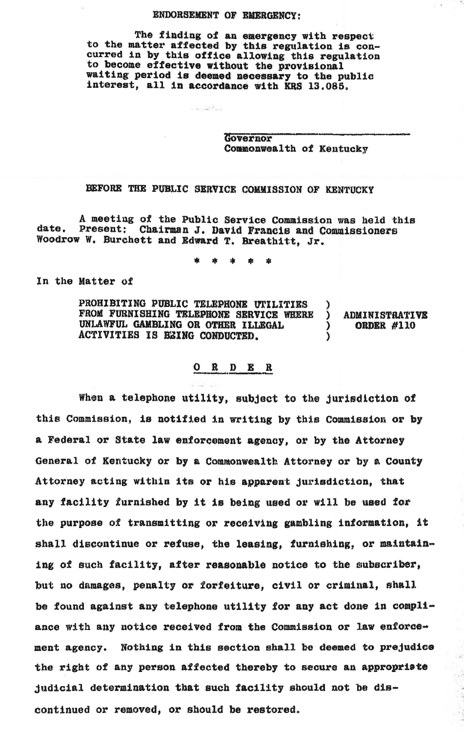## ENDORSEMENT OF EMERGENCY:

The finding of an emergency with respect to the matter affected by this regulation is concurred in by this office allowing this regulation<br>to become effective without the provisional waiting period is deemed necessary to the public interest, all in accordance with KRS 13,085.

www.beck

Governor Commonwealth of Kentucky

## BEFORE THE PUBLIC SERVICE COMMISSION OF KENTUCKY

A meeting of the Public Service Commission was held this date. Present: Chairman J. David Francis and Commissioners Woodrow w. Burchett and Edward T. Breathitt, Jr.

\* • • • \*

In the Matter of

PROHIBITING PUBLIC TELEPHONE UTILITIES )<br>FROM FURNISHING TELEPHONE SERVICE WHERE ) FROM FURNISHING TELEPHONE SERVICE WHERE ) ADMINISTRATIVE<br>UNLAWFUL GAMBLING OR OTHER ILLEGAL ) ORDER #110 UNLAWFUL GAMBLING OR OTHER ILLEGAL ACTIVITIES IS BEING CONDUCTED.

## 0 R D E R

When a telephone utility, subject to the jurisdiction of this Commission, is notified in writing by this Commission or by a Federal or State law enforeement agency, or by the Attorney General of Kentucky or by a Commonwealth Attorney or by a County Attorney acting within its or his apparent jurisdiction, that any facility furnished by it is being used or will be used for the purpose of transmitting or receiving gambling information, it shall discontinue or refuse, the leasing, furnishing, or maintaining of such facility, after reasonable notice to the subscriber, but no damages, penalty or forfeiture, civil or criminal, shall be found against any telephone utility for any act done in conpliance with any notice received from the Commission or law enforcement agency. Nothing in this section shall be deemed to prejudice the right of any person affected thereby to secure an appropriate judicial determination tbat such facility should not be discontinued or removed, or should be restored.